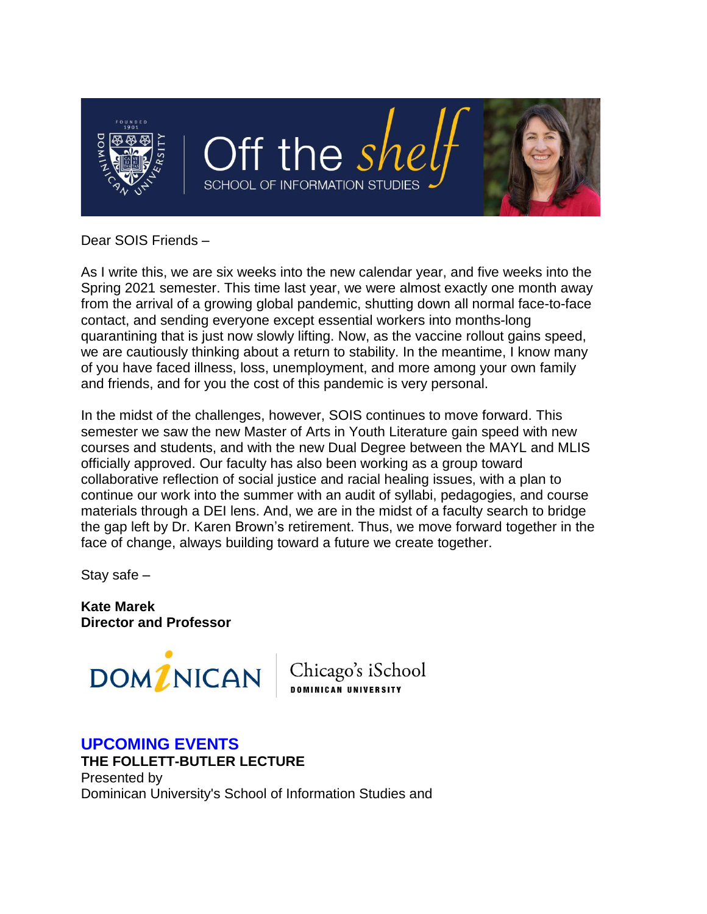

Dear SOIS Friends –

As I write this, we are six weeks into the new calendar year, and five weeks into the Spring 2021 semester. This time last year, we were almost exactly one month away from the arrival of a growing global pandemic, shutting down all normal face-to-face contact, and sending everyone except essential workers into months-long quarantining that is just now slowly lifting. Now, as the vaccine rollout gains speed, we are cautiously thinking about a return to stability. In the meantime, I know many of you have faced illness, loss, unemployment, and more among your own family and friends, and for you the cost of this pandemic is very personal.

In the midst of the challenges, however, SOIS continues to move forward. This semester we saw the new Master of Arts in Youth Literature gain speed with new courses and students, and with the new Dual Degree between the MAYL and MLIS officially approved. Our faculty has also been working as a group toward collaborative reflection of social justice and racial healing issues, with a plan to continue our work into the summer with an audit of syllabi, pedagogies, and course materials through a DEI lens. And, we are in the midst of a faculty search to bridge the gap left by Dr. Karen Brown's retirement. Thus, we move forward together in the face of change, always building toward a future we create together.

Stay safe –

**Kate Marek Director and Professor**



Chicago's iSchool

**UPCOMING EVENTS THE FOLLETT-BUTLER LECTURE** Presented by Dominican University's School of Information Studies and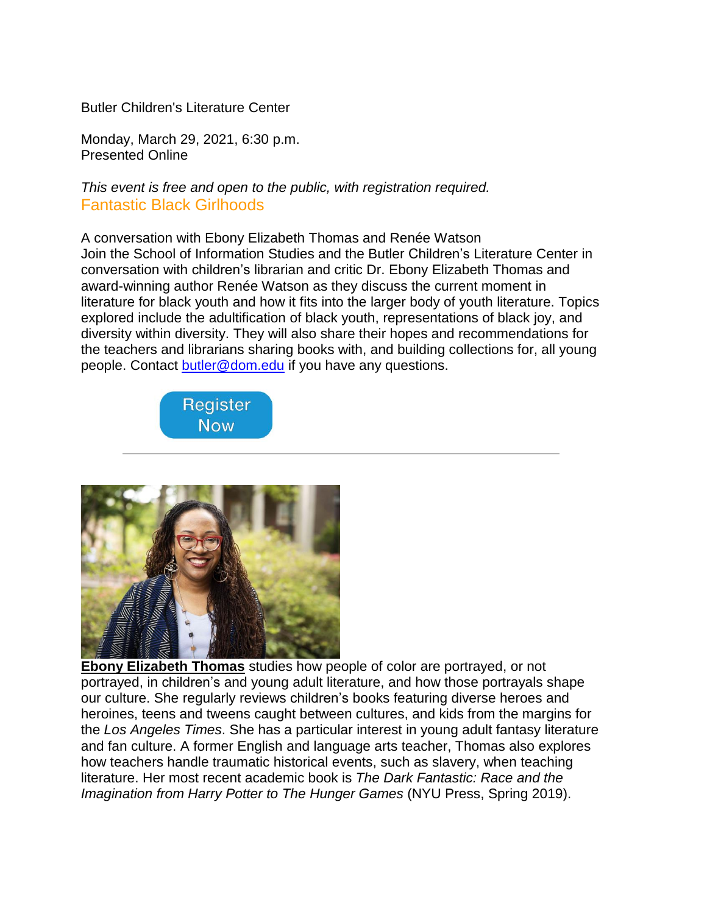Butler Children's Literature Center

Monday, March 29, 2021, 6:30 p.m. Presented Online

*This event is free and open to the public, with registration required.* Fantastic Black Girlhoods

A conversation with Ebony Elizabeth Thomas and Renée Watson Join the School of Information Studies and the Butler Children's Literature Center in conversation with children's librarian and critic Dr. Ebony Elizabeth Thomas and award-winning author Renée Watson as they discuss the current moment in literature for black youth and how it fits into the larger body of youth literature. Topics explored include the adultification of black youth, representations of black joy, and diversity within diversity. They will also share their hopes and recommendations for the teachers and librarians sharing books with, and building collections for, all young people. Contact [butler@dom.edu](mailto:butler@dom.edu) if you have any questions.





**Ebony Elizabeth Thomas** studies how people of color are portrayed, or not portrayed, in children's and young adult literature, and how those portrayals shape our culture. She regularly reviews children's books featuring diverse heroes and heroines, teens and tweens caught between cultures, and kids from the margins for the *Los Angeles Times*. She has a particular interest in young adult fantasy literature and fan culture. A former English and language arts teacher, Thomas also explores how teachers handle traumatic historical events, such as slavery, when teaching literature. Her most recent academic book is *The Dark Fantastic: Race and the Imagination from Harry Potter to The Hunger Games* (NYU Press, Spring 2019).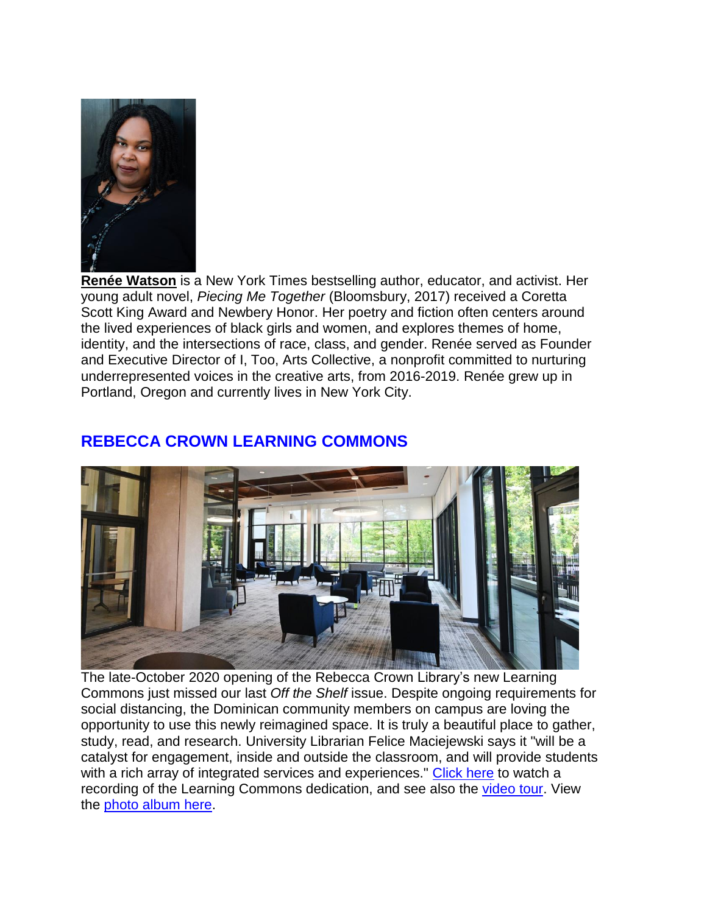

**Renée Watson** is a New York Times bestselling author, educator, and activist. Her young adult novel, *Piecing Me Together* (Bloomsbury, 2017) received a Coretta Scott King Award and Newbery Honor. Her poetry and fiction often centers around the lived experiences of black girls and women, and explores themes of home, identity, and the intersections of race, class, and gender. Renée served as Founder and Executive Director of I, Too, Arts Collective, a nonprofit committed to nurturing underrepresented voices in the creative arts, from 2016-2019. Renée grew up in Portland, Oregon and currently lives in New York City.

## **REBECCA CROWN LEARNING COMMONS**



The late-October 2020 opening of the Rebecca Crown Library's new Learning Commons just missed our last *Off the Shelf* issue. Despite ongoing requirements for social distancing, the Dominican community members on campus are loving the opportunity to use this newly reimagined space. It is truly a beautiful place to gather, study, read, and research. University Librarian Felice Maciejewski says it "will be a catalyst for engagement, inside and outside the classroom, and will provide students with a rich array of integrated services and experiences." [Click](https://connect.dom.edu/page.redir?target=http%3a%2f%2fwww.dom.edu%2funiversity-advancement%2flearning-commons-dedication&srcid=29696&srctid=1&erid=5532519&trid=ab818d58-0b5e-4ad7-b8b9-3a2ea1747dbf) here to watch a recording of the Learning Commons dedication, and see also the [video](https://connect.dom.edu/page.redir?target=http%3a%2f%2fyoutu.be%2f2Wd-6p1W1po&srcid=29696&srctid=1&erid=5532519&trid=ab818d58-0b5e-4ad7-b8b9-3a2ea1747dbf) tour. View the photo [album](https://connect.dom.edu/page.redir?target=http%3a%2f%2fflic.kr%2fs%2faHsmR8pSri&srcid=29696&srctid=1&erid=5532519&trid=ab818d58-0b5e-4ad7-b8b9-3a2ea1747dbf) here.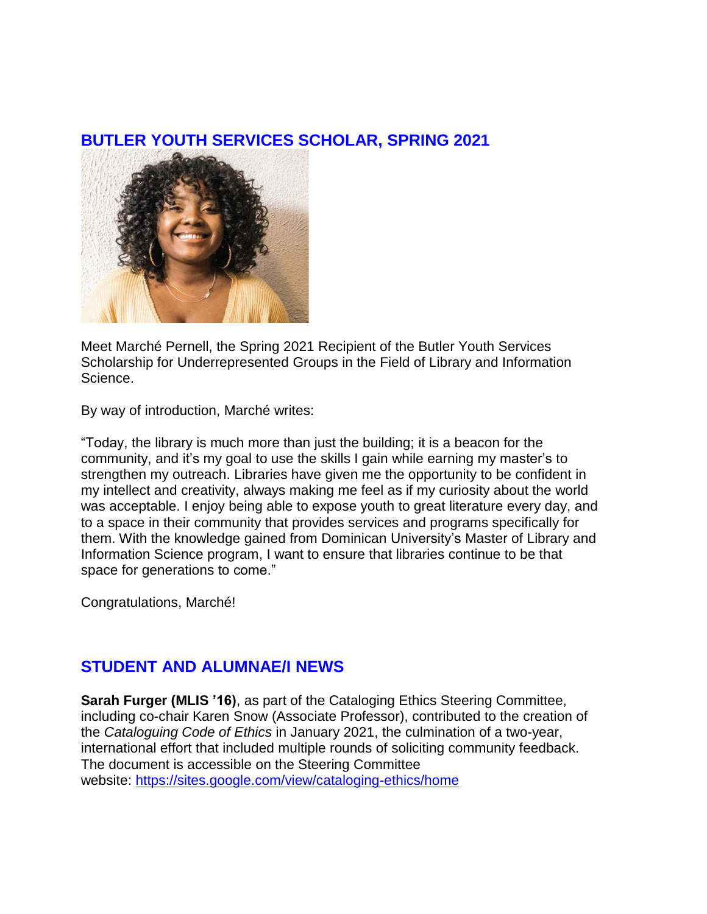### **BUTLER YOUTH SERVICES SCHOLAR, SPRING 2021**



Meet Marché Pernell, the Spring 2021 Recipient of the Butler Youth Services Scholarship for Underrepresented Groups in the Field of Library and Information Science.

By way of introduction, Marché writes:

"Today, the library is much more than just the building; it is a beacon for the community, and it's my goal to use the skills I gain while earning my master's to strengthen my outreach. Libraries have given me the opportunity to be confident in my intellect and creativity, always making me feel as if my curiosity about the world was acceptable. I enjoy being able to expose youth to great literature every day, and to a space in their community that provides services and programs specifically for them. With the knowledge gained from Dominican University's Master of Library and Information Science program, I want to ensure that libraries continue to be that space for generations to come."

Congratulations, Marché!

### **STUDENT AND ALUMNAE/I NEWS**

**Sarah Furger (MLIS '16)**, as part of the Cataloging Ethics Steering Committee, including co-chair Karen Snow (Associate Professor), contributed to the creation of the *Cataloguing Code of Ethics* in January 2021, the culmination of a two-year, international effort that included multiple rounds of soliciting community feedback. The document is accessible on the Steering Committee website: [https://sites.google.com/view/cataloging-ethics/home](https://connect.dom.edu/page.redir?target=https%3a%2f%2fsites.google.com%2fview%2fcataloging-ethics%2fhome&srcid=29696&srctid=1&erid=5532519&trid=ab818d58-0b5e-4ad7-b8b9-3a2ea1747dbf)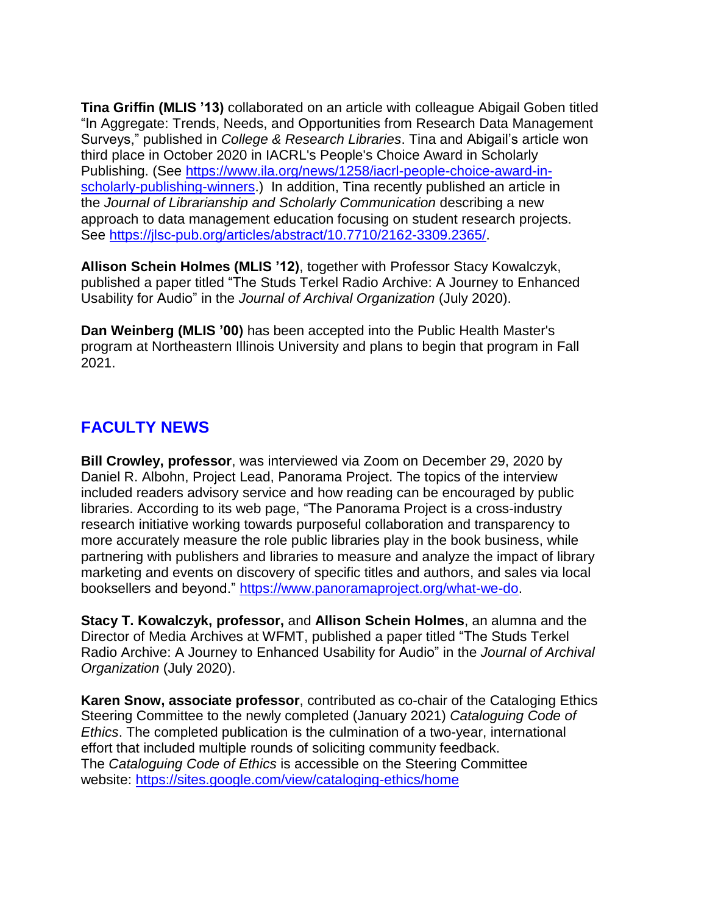**Tina Griffin (MLIS '13)** collaborated on an article with colleague Abigail Goben titled "In Aggregate: Trends, Needs, and Opportunities from Research Data Management Surveys," published in *College & Research Libraries*. Tina and Abigail's article won third place in October 2020 in IACRL's People's Choice Award in Scholarly Publishing. (See [https://www.ila.org/news/1258/iacrl-people-choice-award-in](https://connect.dom.edu/page.redir?target=https%3a%2f%2fwww.ila.org%2fnews%2f1258%2fiacrl-people-choice-award-in-scholarly-publishing-winners)&srcid=29696&srctid=1&erid=5532519&trid=ab818d58-0b5e-4ad7-b8b9-3a2ea1747dbf)[scholarly-publishing-winners.](https://connect.dom.edu/page.redir?target=https%3a%2f%2fwww.ila.org%2fnews%2f1258%2fiacrl-people-choice-award-in-scholarly-publishing-winners)&srcid=29696&srctid=1&erid=5532519&trid=ab818d58-0b5e-4ad7-b8b9-3a2ea1747dbf)) In addition, Tina recently published an article in the *Journal of Librarianship and Scholarly Communication* describing a new approach to data management education focusing on student research projects. See [https://jlsc-pub.org/articles/abstract/10.7710/2162-3309.2365/.](https://connect.dom.edu/page.redir?target=https%3a%2f%2fjlsc-pub.org%2farticles%2fabstract%2f10.7710%2f2162-3309.2365%2f&srcid=29696&srctid=1&erid=5532519&trid=ab818d58-0b5e-4ad7-b8b9-3a2ea1747dbf)

**Allison Schein Holmes (MLIS '12)**, together with Professor Stacy Kowalczyk, published a paper titled "The Studs Terkel Radio Archive: A Journey to Enhanced Usability for Audio" in the *Journal of Archival Organization* (July 2020).

**Dan Weinberg (MLIS '00)** has been accepted into the Public Health Master's program at Northeastern Illinois University and plans to begin that program in Fall 2021.

# **FACULTY NEWS**

**Bill Crowley, professor**, was interviewed via Zoom on December 29, 2020 by Daniel R. Albohn, Project Lead, Panorama Project. The topics of the interview included readers advisory service and how reading can be encouraged by public libraries. According to its web page, "The Panorama Project is a cross-industry research initiative working towards purposeful collaboration and transparency to more accurately measure the role public libraries play in the book business, while partnering with publishers and libraries to measure and analyze the impact of library marketing and events on discovery of specific titles and authors, and sales via local booksellers and beyond." [https://www.panoramaproject.org/what-we-do.](https://connect.dom.edu/page.redir?target=https%3a%2f%2fwww.panoramaproject.org%2fwhat-we-do&srcid=29696&srctid=1&erid=5532519&trid=ab818d58-0b5e-4ad7-b8b9-3a2ea1747dbf)

**Stacy T. Kowalczyk, professor,** and **Allison Schein Holmes**, an alumna and the Director of Media Archives at WFMT, published a paper titled "The Studs Terkel Radio Archive: A Journey to Enhanced Usability for Audio" in the *Journal of Archival Organization* (July 2020).

**Karen Snow, associate professor**, contributed as co-chair of the Cataloging Ethics Steering Committee to the newly completed (January 2021) *Cataloguing Code of Ethics*. The completed publication is the culmination of a two-year, international effort that included multiple rounds of soliciting community feedback. The *Cataloguing Code of Ethics* is accessible on the Steering Committee website: [https://sites.google.com/view/cataloging-ethics/home](https://connect.dom.edu/page.redir?target=https%3a%2f%2fsites.google.com%2fview%2fcataloging-ethics%2fhome&srcid=29696&srctid=1&erid=5532519&trid=ab818d58-0b5e-4ad7-b8b9-3a2ea1747dbf)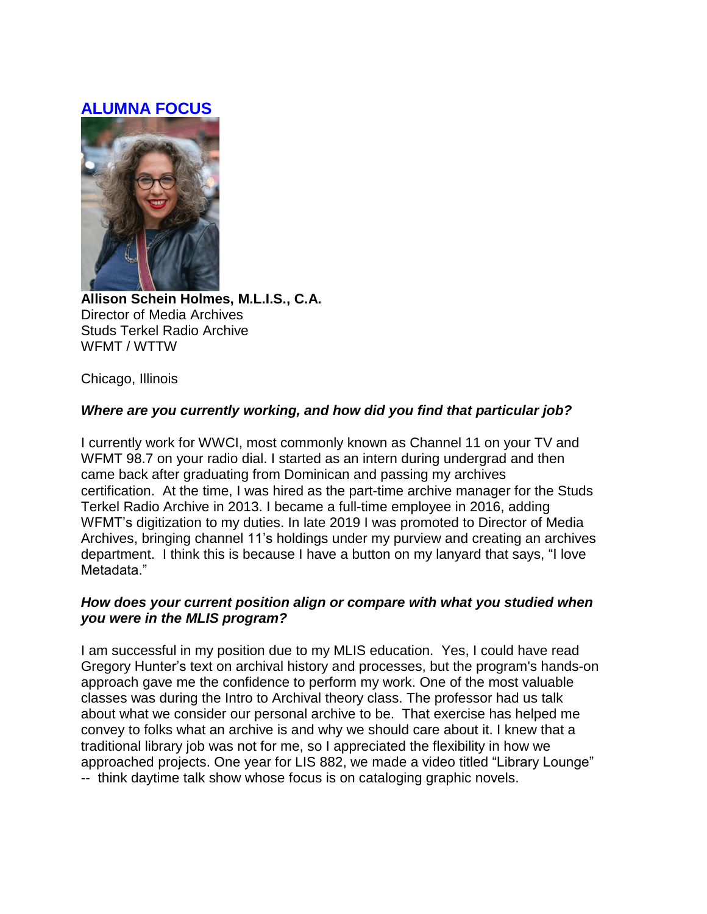## **ALUMNA FOCUS**



**Allison Schein Holmes, M.L.I.S., C.A.** Director of Media Archives Studs Terkel Radio Archive WFMT / WTTW

Chicago, Illinois

### *Where are you currently working, and how did you find that particular job?*

I currently work for WWCI, most commonly known as Channel 11 on your TV and WFMT 98.7 on your radio dial. I started as an intern during undergrad and then came back after graduating from Dominican and passing my archives certification. At the time, I was hired as the part-time archive manager for the Studs Terkel Radio Archive in 2013. I became a full-time employee in 2016, adding WFMT's digitization to my duties. In late 2019 I was promoted to Director of Media Archives, bringing channel 11's holdings under my purview and creating an archives department. I think this is because I have a button on my lanyard that says, "I love Metadata "

#### *How does your current position align or compare with what you studied when you were in the MLIS program?*

I am successful in my position due to my MLIS education. Yes, I could have read Gregory Hunter's text on archival history and processes, but the program's hands-on approach gave me the confidence to perform my work. One of the most valuable classes was during the Intro to Archival theory class. The professor had us talk about what we consider our personal archive to be. That exercise has helped me convey to folks what an archive is and why we should care about it. I knew that a traditional library job was not for me, so I appreciated the flexibility in how we approached projects. One year for LIS 882, we made a video titled "Library Lounge" -- think daytime talk show whose focus is on cataloging graphic novels.